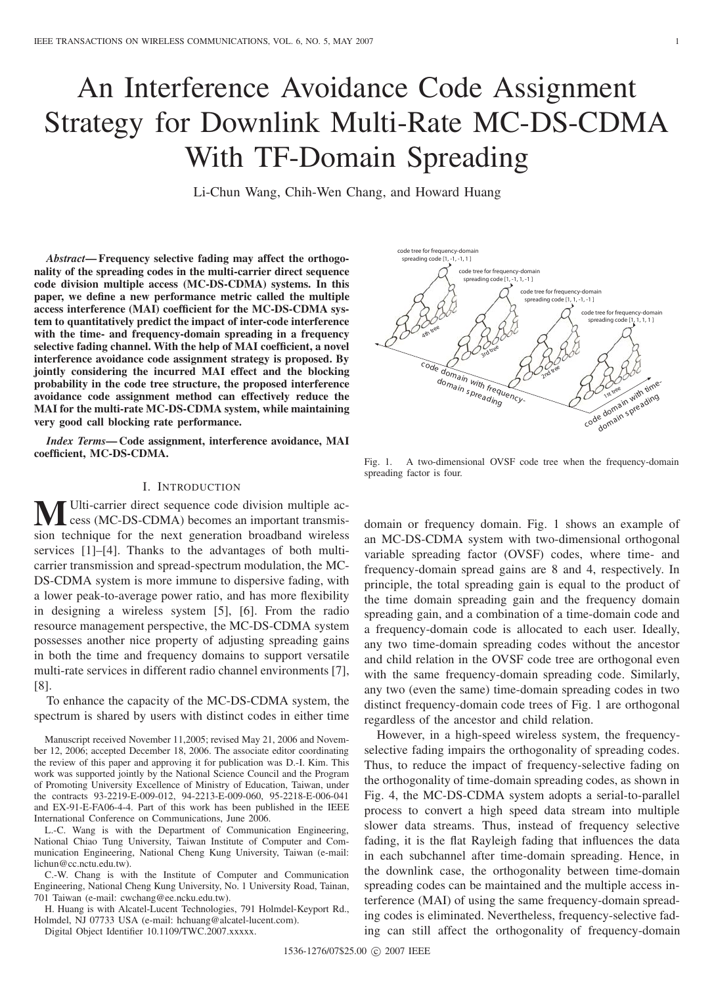# An Interference Avoidance Code Assignment Strategy for Downlink Multi-Rate MC-DS-CDMA With TF-Domain Spreading

Li-Chun Wang, Chih-Wen Chang, and Howard Huang

*Abstract***— Frequency selective fading may affect the orthogonality of the spreading codes in the multi-carrier direct sequence code division multiple access (MC-DS-CDMA) systems. In this paper, we define a new performance metric called the multiple access interference (MAI) coefficient for the MC-DS-CDMA system to quantitatively predict the impact of inter-code interference with the time- and frequency-domain spreading in a frequency selective fading channel. With the help of MAI coefficient, a novel interference avoidance code assignment strategy is proposed. By jointly considering the incurred MAI effect and the blocking probability in the code tree structure, the proposed interference avoidance code assignment method can effectively reduce the MAI for the multi-rate MC-DS-CDMA system, while maintaining very good call blocking rate performance.**

*Index Terms***— Code assignment, interference avoidance, MAI coefficient, MC-DS-CDMA.**

### I. INTRODUCTION

**M**Ulti-carrier direct sequence code division multiple access (MC-DS-CDMA) becomes an important transmission technique for the next generation broadband wireless services [1]–[4]. Thanks to the advantages of both multicarrier transmission and spread-spectrum modulation, the MC-DS-CDMA system is more immune to dispersive fading, with a lower peak-to-average power ratio, and has more flexibility in designing a wireless system [5], [6]. From the radio resource management perspective, the MC-DS-CDMA system possesses another nice property of adjusting spreading gains in both the time and frequency domains to support versatile multi-rate services in different radio channel environments [7], [8].

To enhance the capacity of the MC-DS-CDMA system, the spectrum is shared by users with distinct codes in either time

Manuscript received November 11,2005; revised May 21, 2006 and November 12, 2006; accepted December 18, 2006. The associate editor coordinating the review of this paper and approving it for publication was D.-I. Kim. This work was supported jointly by the National Science Council and the Program of Promoting University Excellence of Ministry of Education, Taiwan, under the contracts 93-2219-E-009-012, 94-2213-E-009-060, 95-2218-E-006-041 and EX-91-E-FA06-4-4. Part of this work has been published in the IEEE International Conference on Communications, June 2006.

L.-C. Wang is with the Department of Communication Engineering, National Chiao Tung University, Taiwan Institute of Computer and Communication Engineering, National Cheng Kung University, Taiwan (e-mail: lichun@cc.nctu.edu.tw).

C.-W. Chang is with the Institute of Computer and Communication Engineering, National Cheng Kung University, No. 1 University Road, Tainan, 701 Taiwan (e-mail: cwchang@ee.ncku.edu.tw).

H. Huang is with Alcatel-Lucent Technologies, 791 Holmdel-Keyport Rd., Holmdel, NJ 07733 USA (e-mail: hchuang@alcatel-lucent.com).

Digital Object Identifier 10.1109/TWC.2007.xxxxx.



Fig. 1. A two-dimensional OVSF code tree when the frequency-domain spreading factor is four.

domain or frequency domain. Fig. 1 shows an example of an MC-DS-CDMA system with two-dimensional orthogonal variable spreading factor (OVSF) codes, where time- and frequency-domain spread gains are 8 and 4, respectively. In principle, the total spreading gain is equal to the product of the time domain spreading gain and the frequency domain spreading gain, and a combination of a time-domain code and a frequency-domain code is allocated to each user. Ideally, any two time-domain spreading codes without the ancestor and child relation in the OVSF code tree are orthogonal even with the same frequency-domain spreading code. Similarly, any two (even the same) time-domain spreading codes in two distinct frequency-domain code trees of Fig. 1 are orthogonal regardless of the ancestor and child relation.

However, in a high-speed wireless system, the frequencyselective fading impairs the orthogonality of spreading codes. Thus, to reduce the impact of frequency-selective fading on the orthogonality of time-domain spreading codes, as shown in Fig. 4, the MC-DS-CDMA system adopts a serial-to-parallel process to convert a high speed data stream into multiple slower data streams. Thus, instead of frequency selective fading, it is the flat Rayleigh fading that influences the data in each subchannel after time-domain spreading. Hence, in the downlink case, the orthogonality between time-domain spreading codes can be maintained and the multiple access interference (MAI) of using the same frequency-domain spreading codes is eliminated. Nevertheless, frequency-selective fading can still affect the orthogonality of frequency-domain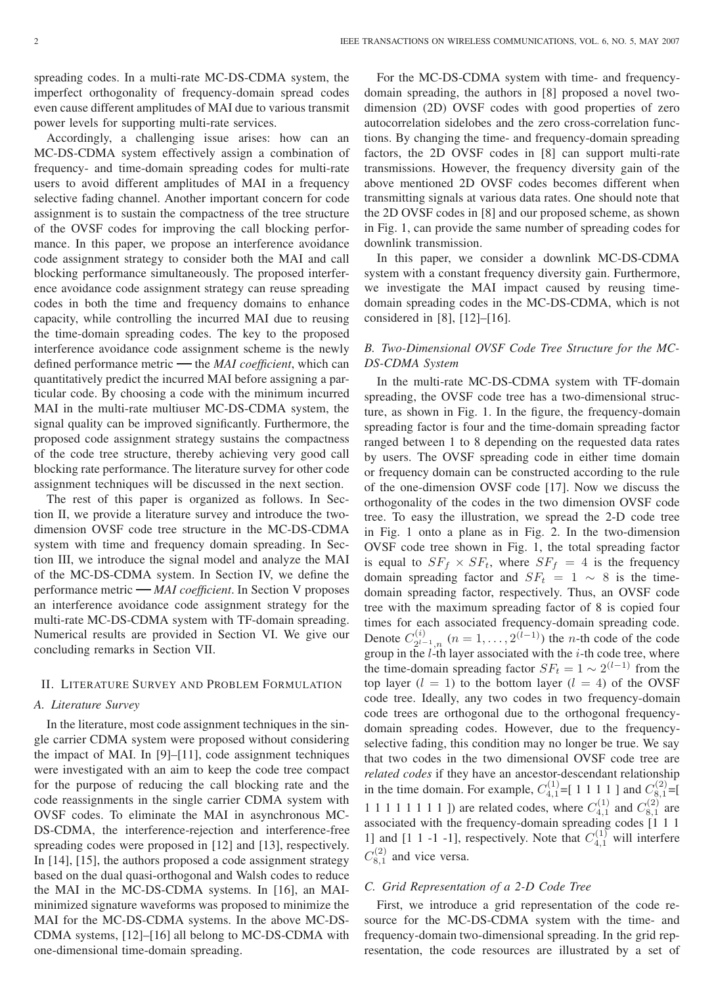Accordingly, a challenging issue arises: how can an MC-DS-CDMA system effectively assign a combination of frequency- and time-domain spreading codes for multi-rate users to avoid different amplitudes of MAI in a frequency selective fading channel. Another important concern for code assignment is to sustain the compactness of the tree structure of the OVSF codes for improving the call blocking performance. In this paper, we propose an interference avoidance code assignment strategy to consider both the MAI and call blocking performance simultaneously. The proposed interference avoidance code assignment strategy can reuse spreading codes in both the time and frequency domains to enhance capacity, while controlling the incurred MAI due to reusing the time-domain spreading codes. The key to the proposed interference avoidance code assignment scheme is the newly defined performance metric the *MAI coefficient*, which can quantitatively predict the incurred MAI before assigning a particular code. By choosing a code with the minimum incurred MAI in the multi-rate multiuser MC-DS-CDMA system, the signal quality can be improved significantly. Furthermore, the proposed code assignment strategy sustains the compactness of the code tree structure, thereby achieving very good call blocking rate performance. The literature survey for other code assignment techniques will be discussed in the next section.

The rest of this paper is organized as follows. In Section II, we provide a literature survey and introduce the twodimension OVSF code tree structure in the MC-DS-CDMA system with time and frequency domain spreading. In Section III, we introduce the signal model and analyze the MAI of the MC-DS-CDMA system. In Section IV, we define the performance metric *MAI coefficient*. In Section V proposes an interference avoidance code assignment strategy for the multi-rate MC-DS-CDMA system with TF-domain spreading. Numerical results are provided in Section VI. We give our concluding remarks in Section VII.

### II. LITERATURE SURVEY AND PROBLEM FORMULATION

### *A. Literature Survey*

In the literature, most code assignment techniques in the single carrier CDMA system were proposed without considering the impact of MAI. In [9]–[11], code assignment techniques were investigated with an aim to keep the code tree compact for the purpose of reducing the call blocking rate and the code reassignments in the single carrier CDMA system with OVSF codes. To eliminate the MAI in asynchronous MC-DS-CDMA, the interference-rejection and interference-free spreading codes were proposed in [12] and [13], respectively. In [14], [15], the authors proposed a code assignment strategy based on the dual quasi-orthogonal and Walsh codes to reduce the MAI in the MC-DS-CDMA systems. In [16], an MAIminimized signature waveforms was proposed to minimize the MAI for the MC-DS-CDMA systems. In the above MC-DS-CDMA systems, [12]–[16] all belong to MC-DS-CDMA with one-dimensional time-domain spreading.

For the MC-DS-CDMA system with time- and frequencydomain spreading, the authors in [8] proposed a novel twodimension (2D) OVSF codes with good properties of zero autocorrelation sidelobes and the zero cross-correlation functions. By changing the time- and frequency-domain spreading factors, the 2D OVSF codes in [8] can support multi-rate transmissions. However, the frequency diversity gain of the above mentioned 2D OVSF codes becomes different when transmitting signals at various data rates. One should note that the 2D OVSF codes in [8] and our proposed scheme, as shown in Fig. 1, can provide the same number of spreading codes for downlink transmission.

In this paper, we consider a downlink MC-DS-CDMA system with a constant frequency diversity gain. Furthermore, we investigate the MAI impact caused by reusing timedomain spreading codes in the MC-DS-CDMA, which is not considered in [8], [12]–[16].

### *B. Two-Dimensional OVSF Code Tree Structure for the MC-DS-CDMA System*

In the multi-rate MC-DS-CDMA system with TF-domain spreading, the OVSF code tree has a two-dimensional structure, as shown in Fig. 1. In the figure, the frequency-domain spreading factor is four and the time-domain spreading factor ranged between 1 to 8 depending on the requested data rates by users. The OVSF spreading code in either time domain or frequency domain can be constructed according to the rule of the one-dimension OVSF code [17]. Now we discuss the orthogonality of the codes in the two dimension OVSF code tree. To easy the illustration, we spread the 2-D code tree in Fig. 1 onto a plane as in Fig. 2. In the two-dimension OVSF code tree shown in Fig. 1, the total spreading factor is equal to  $SF_f \times SF_t$ , where  $SF_f = 4$  is the frequency domain spreading factor and  $SF_t = 1 \sim 8$  is the timedomain spreading factor, respectively. Thus, an OVSF code tree with the maximum spreading factor of 8 is copied four times for each associated frequency-domain spreading code. Denote  $C_{2^{l-1},n}^{(i)}$   $(n = 1, ..., 2^{(l-1)})$  the *n*-th code of the code group in the *l*-th layer associated with the *i*-th code tree, where the time-domain spreading factor  $SF_t = 1 \sim 2^{(l-1)}$  from the top layer  $(l = 1)$  to the bottom layer  $(l = 4)$  of the OVSF code tree. Ideally, any two codes in two frequency-domain code trees are orthogonal due to the orthogonal frequencydomain spreading codes. However, due to the frequencyselective fading, this condition may no longer be true. We say that two codes in the two dimensional OVSF code tree are *related codes* if they have an ancestor-descendant relationship in the time domain. For example,  $C_{4,1}^{(1)} = [ 1 1 1 1 1 ]$  and  $C_{8,1}^{(2)} = [$ 1 1 1 1 1 1 1 1 ]) are related codes, where  $C_{4,1}^{(1)}$  and  $C_{8,1}^{(2)}$  are associated with the frequency-domain spreading codes  $\begin{bmatrix} 1 & 1 & 1 \end{bmatrix}$ 1] and [1 1 -1 -1], respectively. Note that  $C_{4,1}^{(1)}$  will interfere  $C_{8,1}^{(2)}$  and vice versa.

### *C. Grid Representation of a 2-D Code Tree*

First, we introduce a grid representation of the code resource for the MC-DS-CDMA system with the time- and frequency-domain two-dimensional spreading. In the grid representation, the code resources are illustrated by a set of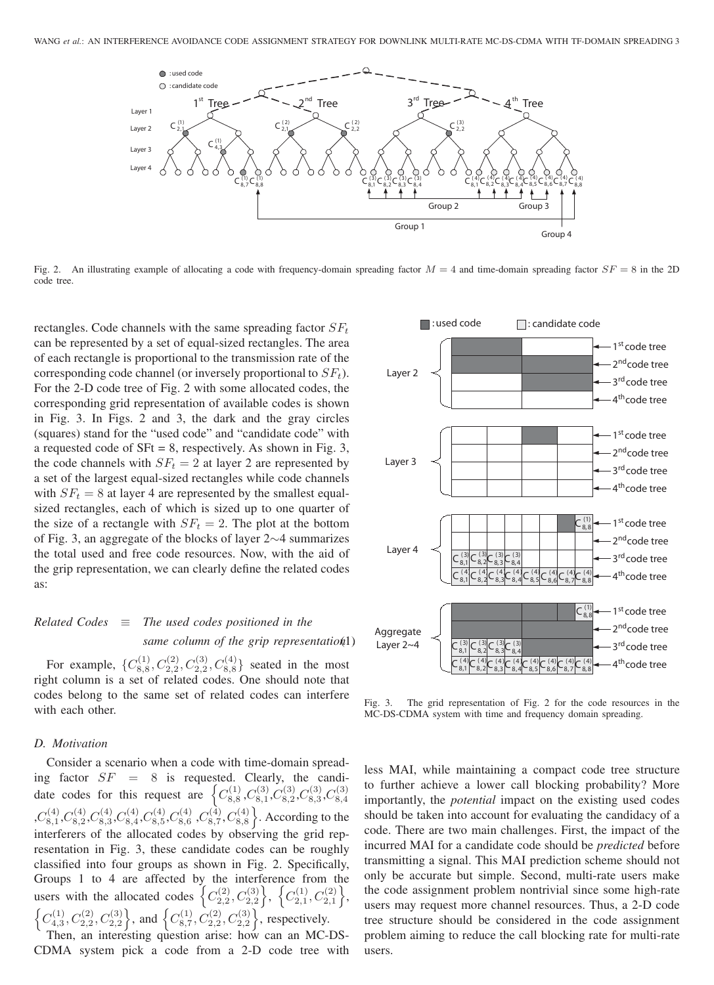

Fig. 2. An illustrating example of allocating a code with frequency-domain spreading factor  $M = 4$  and time-domain spreading factor  $SF = 8$  in the 2D code tree.

rectangles. Code channels with the same spreading factor  $SF_t$ can be represented by a set of equal-sized rectangles. The area of each rectangle is proportional to the transmission rate of the corresponding code channel (or inversely proportional to  $SF_t$ ). For the 2-D code tree of Fig. 2 with some allocated codes, the corresponding grid representation of available codes is shown in Fig. 3. In Figs. 2 and 3, the dark and the gray circles (squares) stand for the "used code" and "candidate code" with a requested code of  $SFt = 8$ , respectively. As shown in Fig. 3, the code channels with  $SF_t = 2$  at layer 2 are represented by a set of the largest equal-sized rectangles while code channels with  $SF<sub>t</sub> = 8$  at layer 4 are represented by the smallest equalsized rectangles, each of which is sized up to one quarter of the size of a rectangle with  $SF<sub>t</sub> = 2$ . The plot at the bottom of Fig. 3, an aggregate of the blocks of layer 2∼4 summarizes the total used and free code resources. Now, with the aid of the grip representation, we can clearly define the related codes as:

### *Related Codes* ≡ *The used codes positioned in the same column of the grip representation*(1).

For example,  $\{C_{8,8}^{(1)}, C_{2,2}^{(2)}, C_{2,2}^{(3)}, C_{8,8}^{(4)}\}$  seated in the most right column is a set of related codes. One should note that codes belong to the same set of related codes can interfere with each other.

### *D. Motivation*

Consider a scenario when a code with time-domain spreading factor  $SF = 8$  is requested. Clearly, the candidate codes for this request are  $\left\{C_{8,8}^{(1)}, C_{8,1}^{(3)}, C_{8,2}^{(3)}, C_{8,3}^{(3)}, C_{8,4}^{(3)}\right\}$  $,C_{8,1}^{(4)},C_{8,2}^{(4)},C_{8,3}^{(4)},C_{8,4}^{(4)},C_{8,5}^{(4)},C_{8,6}^{(4)},C_{8,7}^{(4)},C_{8,8}^{(4)}$ . According to the interferers of the allocated codes by observing the grid representation in Fig. 3, these candidate codes can be roughly classified into four groups as shown in Fig. 2. Specifically, Groups 1 to 4 are affected by the interference from the users with the allocated codes  $\left\{C_{2,2}^{(2)}, C_{2,2}^{(3)}\right\}$ ,  $\left\{C_{2,1}^{(1)}, C_{2,1}^{(2)}\right\},\$  $\left\{C_{4,3}^{(1)}, C_{2,2}^{(2)}, C_{2,2}^{(3)}\right\}$ , and  $\left\{C_{8,7}^{(1)}, C_{2,2}^{(2)}, C_{2,2}^{(3)}\right\}$ , respectively.

Then, an interesting question arise: how can an MC-DS-CDMA system pick a code from a 2-D code tree with



Fig. 3. The grid representation of Fig. 2 for the code resources in the MC-DS-CDMA system with time and frequency domain spreading.

less MAI, while maintaining a compact code tree structure to further achieve a lower call blocking probability? More importantly, the *potential* impact on the existing used codes should be taken into account for evaluating the candidacy of a code. There are two main challenges. First, the impact of the incurred MAI for a candidate code should be *predicted* before transmitting a signal. This MAI prediction scheme should not only be accurate but simple. Second, multi-rate users make the code assignment problem nontrivial since some high-rate users may request more channel resources. Thus, a 2-D code tree structure should be considered in the code assignment problem aiming to reduce the call blocking rate for multi-rate users.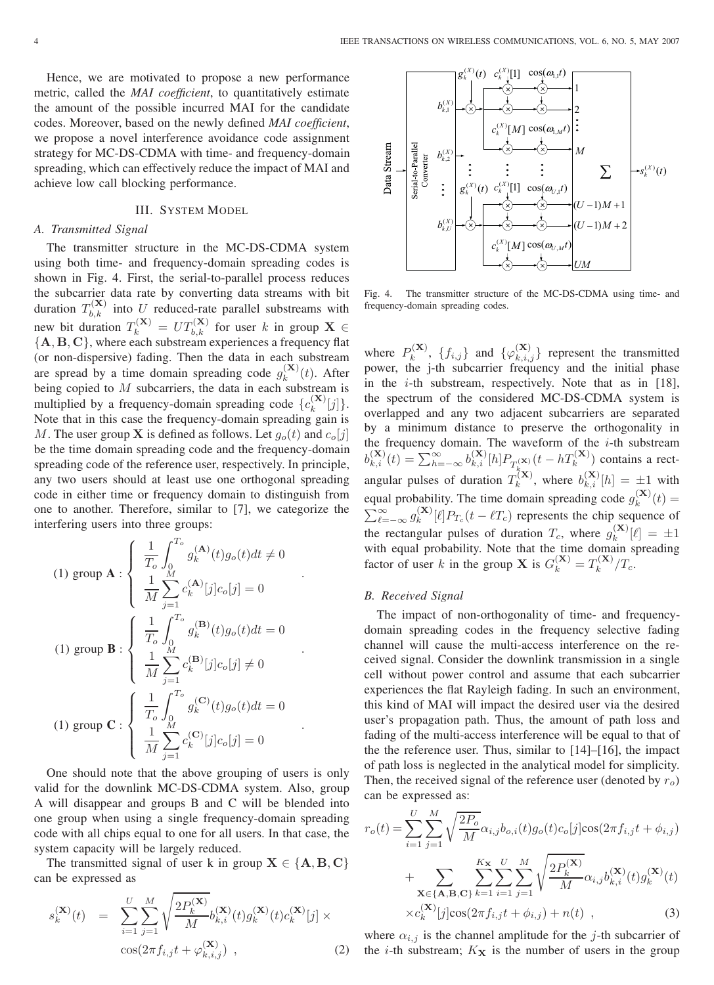Hence, we are motivated to propose a new performance metric, called the *MAI coefficient*, to quantitatively estimate the amount of the possible incurred MAI for the candidate codes. Moreover, based on the newly defined *MAI coefficient*, we propose a novel interference avoidance code assignment strategy for MC-DS-CDMA with time- and frequency-domain spreading, which can effectively reduce the impact of MAI and achieve low call blocking performance.

### III. SYSTEM MODEL

### *A. Transmitted Signal*

The transmitter structure in the MC-DS-CDMA system using both time- and frequency-domain spreading codes is shown in Fig. 4. First, the serial-to-parallel process reduces the subcarrier data rate by converting data streams with bit duration  $T_{b,k}^{(\mathbf{X})}$  into U reduced-rate parallel substreams with new bit duration  $T_k^{(\mathbf{X})} = UT_{b,k}^{(\mathbf{X})}$  for user k in group  $\mathbf{X} \in$ {**A**, **B**, **C**}, where each substream experiences a frequency flat (or non-dispersive) fading. Then the data in each substream are spread by a time domain spreading code  $g_k^{(\mathbf{X})}(t)$ . After being copied to  $M$  subcarriers, the data in each substream is multiplied by a frequency-domain spreading code  $\{c_k^{(\mathbf{X})}[j]\}.$ Note that in this case the frequency-domain spreading gain is M. The user group **X** is defined as follows. Let  $g_o(t)$  and  $c_o[j]$ be the time domain spreading code and the frequency-domain spreading code of the reference user, respectively. In principle, any two users should at least use one orthogonal spreading code in either time or frequency domain to distinguish from one to another. Therefore, similar to [7], we categorize the interfering users into three groups:

(1) group 
$$
\mathbf{A} : \begin{cases} \frac{1}{T_o} \int_0^{T_o} g_k^{(\mathbf{A})}(t) g_o(t) dt \neq 0 \\ \frac{1}{M} \sum_{j=1}^M c_k^{(\mathbf{A})}[j] c_o[j] = 0 \end{cases}
$$
  
\n(1) group  $\mathbf{B} : \begin{cases} \frac{1}{T_o} \int_0^{T_o} g_k^{(\mathbf{B})}(t) g_o(t) dt = 0 \\ \frac{1}{M} \sum_{j=1}^M c_k^{(\mathbf{B})}[j] c_o[j] \neq 0 \end{cases}$   
\n(1) group  $\mathbf{C} : \begin{cases} \frac{1}{T_o} \int_0^{T_o} g_k^{(\mathbf{C})}(t) g_o(t) dt = 0 \\ \frac{1}{M} \sum_{j=1}^M c_k^{(\mathbf{C})}[j] c_o[j] = 0 \end{cases}$ 

One should note that the above grouping of users is only valid for the downlink MC-DS-CDMA system. Also, group A will disappear and groups B and C will be blended into one group when using a single frequency-domain spreading code with all chips equal to one for all users. In that case, the system capacity will be largely reduced.

The transmitted signal of user k in group  $X \in \{A, B, C\}$ can be expressed as

$$
s_k^{(\mathbf{X})}(t) = \sum_{i=1}^{U} \sum_{j=1}^{M} \sqrt{\frac{2P_k^{(\mathbf{X})}}{M}} b_{k,i}^{(\mathbf{X})}(t) g_k^{(\mathbf{X})}(t) c_k^{(\mathbf{X})}[j] \times \cos(2\pi f_{i,j} t + \varphi_{k,i,j}^{(\mathbf{X})}) ,
$$
 (2)



Fig. 4. The transmitter structure of the MC-DS-CDMA using time- and frequency-domain spreading codes.

where  $P_k^{(\mathbf{X})}$ ,  $\{f_{i,j}\}\$  and  $\{\varphi_{k,i,j}^{(\mathbf{X})}\}\$  represent the transmitted power, the j-th subcarrier frequency and the initial phase in the *i*-th substream, respectively. Note that as in [18], the spectrum of the considered MC-DS-CDMA system is overlapped and any two adjacent subcarriers are separated by a minimum distance to preserve the orthogonality in the frequency domain. The waveform of the  $i$ -th substream  $b_{k,i}^{(\mathbf{X})}(t) = \sum_{h=-\infty}^{\infty} b_{k,i}^{(\mathbf{X})}[h] P_{T_k^{(\mathbf{X})}}(t-hT_k^{(\mathbf{X})})$  contains a rectangular pulses of duration  $T_k^{(\mathbf{X})}$ , where  $b_{k,i}^{(\mathbf{X})}[h] = \pm 1$  with equal probability. The time domain spreading code  $g_k^{(\mathbf{X})}(t) =$  $\sum_{\ell=-\infty}^{\infty} g_k^{(\mathbf{X})} [\ell] P_{T_c}(t-\ell T_c)$  represents the chip sequence of the rectangular pulses of duration  $T_c$ , where  $g_k^{(\mathbf{X})}[\ell] = \pm 1$ with equal probability. Note that the time domain spreading factor of user k in the group **X** is  $G_k^{(\mathbf{X})} = T_k^{(\mathbf{X})} / T_c$ .

### *B. Received Signal*

The impact of non-orthogonality of time- and frequencydomain spreading codes in the frequency selective fading channel will cause the multi-access interference on the received signal. Consider the downlink transmission in a single cell without power control and assume that each subcarrier experiences the flat Rayleigh fading. In such an environment, this kind of MAI will impact the desired user via the desired user's propagation path. Thus, the amount of path loss and fading of the multi-access interference will be equal to that of the the reference user. Thus, similar to [14]–[16], the impact of path loss is neglected in the analytical model for simplicity. Then, the received signal of the reference user (denoted by  $r_o$ ) can be expressed as:

$$
r_o(t) = \sum_{i=1}^{U} \sum_{j=1}^{M} \sqrt{\frac{2P_o}{M}} \alpha_{i,j} b_{o,i}(t) g_o(t) c_o[j] \cos(2\pi f_{i,j} t + \phi_{i,j})
$$
  
+ 
$$
\sum_{\mathbf{X} \in \{\mathbf{A}, \mathbf{B}, \mathbf{C}\}} \sum_{k=1}^{K_{\mathbf{X}}} \sum_{i=1}^{U} \sum_{j=1}^{M} \sqrt{\frac{2P_k^{(\mathbf{X})}}{M}} \alpha_{i,j} b_{k,i}^{(\mathbf{X})}(t) g_k^{(\mathbf{X})}(t)
$$
  

$$
\times c_k^{(\mathbf{X})}[j] \cos(2\pi f_{i,j} t + \phi_{i,j}) + n(t) , \qquad (3)
$$

where  $\alpha_{i,j}$  is the channel amplitude for the j-th subcarrier of the *i*-th substream;  $K_{\mathbf{X}}$  is the number of users in the group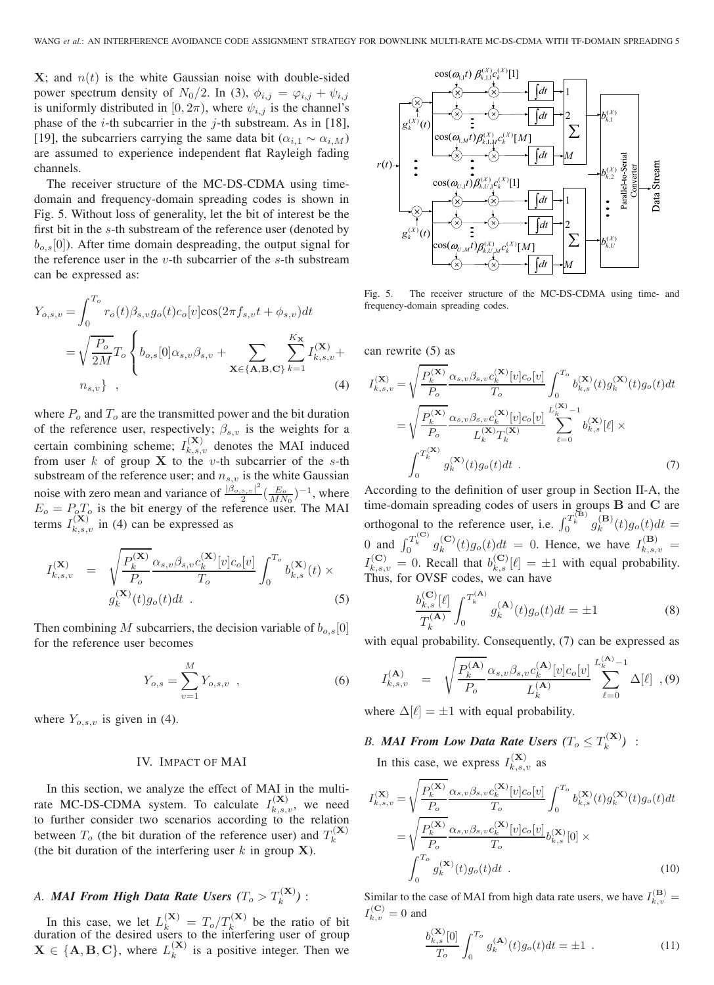$X$ ; and  $n(t)$  is the white Gaussian noise with double-sided power spectrum density of  $N_0/2$ . In (3),  $\phi_{i,j} = \varphi_{i,j} + \psi_{i,j}$ is uniformly distributed in [0,  $2\pi$ ), where  $\psi_{i,j}$  is the channel's phase of the *i*-th subcarrier in the *j*-th substream. As in [18], [19], the subcarriers carrying the same data bit ( $\alpha_{i,1} \sim \alpha_{i,M}$ ) are assumed to experience independent flat Rayleigh fading channels.

The receiver structure of the MC-DS-CDMA using timedomain and frequency-domain spreading codes is shown in Fig. 5. Without loss of generality, let the bit of interest be the first bit in the s-th substream of the reference user (denoted by  $b_{o,s}[0]$ ). After time domain despreading, the output signal for the reference user in the  $v$ -th subcarrier of the  $s$ -th substream can be expressed as:

$$
Y_{o,s,v} = \int_0^{T_o} r_o(t) \beta_{s,v} g_o(t) c_o[v] \cos(2\pi f_{s,v} t + \phi_{s,v}) dt
$$
  
=  $\sqrt{\frac{P_o}{2M}} T_o \left\{ b_{o,s}[0] \alpha_{s,v} \beta_{s,v} + \sum_{\mathbf{X} \in \{\mathbf{A}, \mathbf{B}, \mathbf{C}\}} \sum_{k=1}^{K_{\mathbf{X}}} I_{k,s,v}^{(\mathbf{X})} + n_{s,v} \right\},$  (4)

where  $P<sub>o</sub>$  and  $T<sub>o</sub>$  are the transmitted power and the bit duration of the reference user, respectively;  $\beta_{s,v}$  is the weights for a certain combining scheme;  $I_{k,s,v}^{(\mathbf{X})}$  denotes the MAI induced from user  $k$  of group **X** to the v-th subcarrier of the s-th substream of the reference user; and  $n_{s,v}$  is the white Gaussian noise with zero mean and variance of  $\frac{|\beta_{o,s,v}|^2}{2}(\frac{E_o}{MN_0})^{-1}$ , where  $E_o = P_o T_o$  is the bit energy of the reference user. The MAI terms  $I_{k,s,v}^{(\mathbf{X})}$  in (4) can be expressed as

$$
I_{k,s,v}^{(\mathbf{X})} = \sqrt{\frac{P_k^{(\mathbf{X})}}{P_o}} \frac{\alpha_{s,v}\beta_{s,v}c_k^{(\mathbf{X})}[v]c_o[v]}{T_o} \int_0^{T_o} b_{k,s}^{(\mathbf{X})}(t) \times g_k^{(\mathbf{X})}(t)g_o(t)dt
$$
\n(5)

Then combining M subcarriers, the decision variable of  $b_{o,s}[0]$ for the reference user becomes

$$
Y_{o,s} = \sum_{v=1}^{M} Y_{o,s,v} \quad , \tag{6}
$$

where  $Y_{o,s,v}$  is given in (4).

### IV. IMPACT OF MAI

In this section, we analyze the effect of MAI in the multirate MC-DS-CDMA system. To calculate  $I_{k,s,v}^{(\mathbf{X})}$ , we need to further consider two scenarios according to the relation between  $T_o$  (the bit duration of the reference user) and  $T_k^{(\mathbf{X})}$ (the bit duration of the interfering user  $k$  in group **X**).

### *A. MAI From High Data Rate Users*  $(T_o > T_k^{(\mathbf{X})})$  *:*

In this case, we let  $L_k^{(\mathbf{X})} = T_o/T_k^{(\mathbf{X})}$  be the ratio of bit duration of the desired users to the interfering user of group  $X \in \{A, B, C\}$ , where  $L_k^{(X)}$  is a positive integer. Then we



Fig. 5. The receiver structure of the MC-DS-CDMA using time- and frequency-domain spreading codes.

can rewrite (5) as

$$
I_{k,s,v}^{(\mathbf{X})} = \sqrt{\frac{P_k^{(\mathbf{X})}}{P_o}} \frac{\alpha_{s,v} \beta_{s,v} c_k^{(\mathbf{X})} [v] c_o [v]}{T_o} \int_0^{T_o} b_{k,s}^{(\mathbf{X})}(t) g_k^{(\mathbf{X})}(t) g_o(t) dt
$$
  

$$
= \sqrt{\frac{P_k^{(\mathbf{X})}}{P_o}} \frac{\alpha_{s,v} \beta_{s,v} c_k^{(\mathbf{X})} [v] c_o [v]}{L_k^{(\mathbf{X})} T_k^{(\mathbf{X})}} \sum_{\ell=0}^{L_k^{(\mathbf{X})}-1} b_{k,s}^{(\mathbf{X})} [\ell] \times
$$
  

$$
\int_0^{T_k^{(\mathbf{X})}} g_k^{(\mathbf{X})}(t) g_o(t) dt .
$$
 (7)

According to the definition of user group in Section II-A, the time-domain spreading codes of users in groups  $\bf{B}$  and  $\bf{C}$  are orthogonal to the reference user, i.e.  $\int_0^{T_k^{(B)}} g_k^{(B)}(t)g_o(t)dt =$ 0 and  $\int_0^{T_k^{(c)}} g_k^{(c)}(t) g_o(t) dt = 0$ . Hence, we have  $I_{k,s,v}^{(B)} =$  $I_{k,s,v}^{(\mathbf{C})} = 0$ . Recall that  $b_{k,s}^{(\mathbf{C})}[\ell] = \pm 1$  with equal probability. Thus, for OVSF codes, we can have

$$
\frac{b_{k,s}^{(\mathbf{C})}[\ell]}{T_k^{(\mathbf{A})}} \int_0^{T_k^{(\mathbf{A})}} g_k^{(\mathbf{A})}(t) g_o(t) dt = \pm 1
$$
\n(8)

with equal probability. Consequently, (7) can be expressed as

$$
I_{k,s,v}^{(\mathbf{A})} = \sqrt{\frac{P_k^{(\mathbf{A})}}{P_o}} \frac{\alpha_{s,v}\beta_{s,v}c_k^{(\mathbf{A})}[v]c_o[v]}{L_k^{(\mathbf{A})}} \sum_{\ell=0}^{L_k^{(\mathbf{A})}-1} \Delta[\ell], (9)
$$

where  $\Delta[\ell] = \pm 1$  with equal probability.

## *B. MAI From Low Data Rate Users*  $(T_o \leq T_k^{(\mathbf{X})})$  :

In this case, we express  $I_{k,s,v}^{(\mathbf{X})}$  as

$$
I_{k,s,v}^{(\mathbf{X})} = \sqrt{\frac{P_k^{(\mathbf{X})}}{P_o}} \frac{\alpha_{s,v}\beta_{s,v}c_k^{(\mathbf{X})}[v]c_o[v]}{T_o} \int_0^{T_o} b_{k,s}^{(\mathbf{X})}(t)g_k^{(\mathbf{X})}(t)g_o(t)dt
$$

$$
= \sqrt{\frac{P_k^{(\mathbf{X})}}{P_o}} \frac{\alpha_{s,v}\beta_{s,v}c_k^{(\mathbf{X})}[v]c_o[v]}{T_o} b_{k,s}^{(\mathbf{X})}[0] \times
$$

$$
\int_0^{T_o} g_k^{(\mathbf{X})}(t)g_o(t)dt .
$$
(10)

Similar to the case of MAI from high data rate users, we have  $I_{k,v}^{(B)} =$  $I_{k,v}^{(\mathbf{C})} = 0$  and

$$
\frac{b_{k,s}^{(\mathbf{X})}[0]}{T_o} \int_0^{T_o} g_k^{(\mathbf{A})}(t) g_o(t) dt = \pm 1 .
$$
 (11)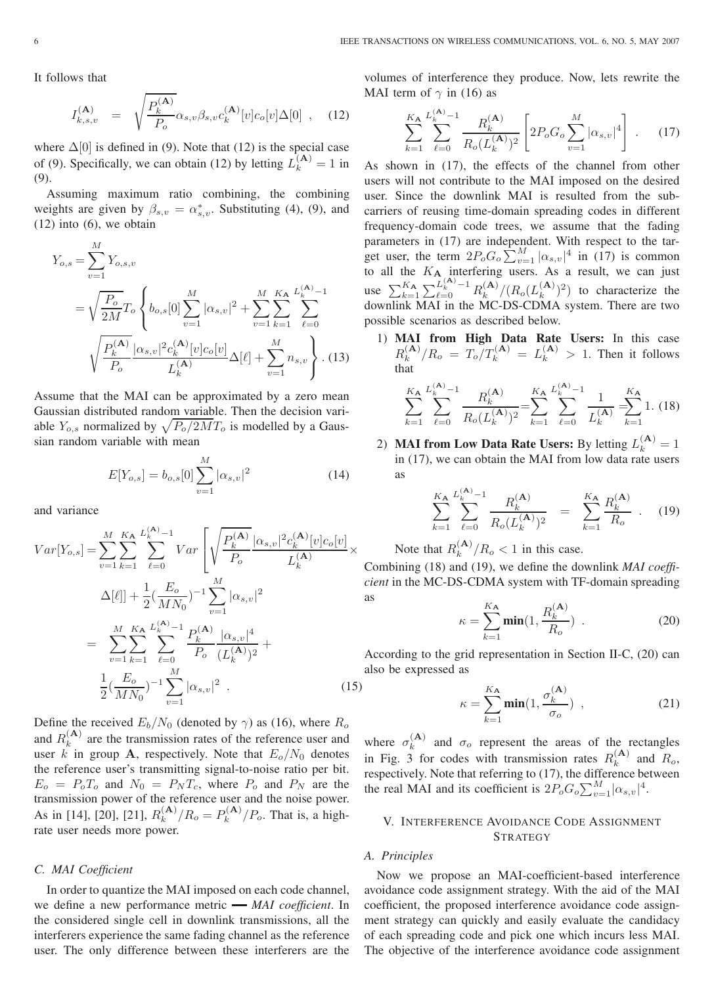It follows that

$$
I_{k,s,v}^{(\mathbf{A})} = \sqrt{\frac{P_k^{(\mathbf{A})}}{P_o}} \alpha_{s,v} \beta_{s,v} c_k^{(\mathbf{A})} [v] c_o[v] \Delta[0] , \quad (12)
$$

where  $\Delta[0]$  is defined in (9). Note that (12) is the special case of (9). Specifically, we can obtain (12) by letting  $L_k^{(A)} = 1$  in (9).

Assuming maximum ratio combining, the combining weights are given by  $\beta_{s,v} = \alpha_{s,v}^*$ . Substituting (4), (9), and  $(12)$  into  $(6)$ , we obtain

$$
Y_{o,s} = \sum_{v=1}^{M} Y_{o,s,v}
$$
  
=  $\sqrt{\frac{P_o}{2M}} T_o \left\{ b_{o,s} [0] \sum_{v=1}^{M} |\alpha_{s,v}|^2 + \sum_{v=1}^{M} \sum_{k=1}^{K_A} \sum_{\ell=0}^{L_A^{(A)}-1} \right\}$   
 $\sqrt{\frac{P_k^{(A)}}{P_o}} \frac{|\alpha_{s,v}|^2 c_k^{(A)} [v] c_o [v]}{L_k^{(A)}} \Delta[\ell] + \sum_{v=1}^{M} n_{s,v} \right\}$ . (13)

Assume that the MAI can be approximated by a zero mean Gaussian distributed random variable. Then the decision variable  $Y_{o,s}$  normalized by  $\sqrt{P_o/2MT_o}$  is modelled by a Gaussian random variable with mean

$$
E[Y_{o,s}] = b_{o,s}[0] \sum_{v=1}^{M} |\alpha_{s,v}|^2
$$
 (14)

and variance

$$
Var[Y_{o,s}] = \sum_{v=1}^{M} \sum_{k=1}^{K_{\mathbf{A}}} \sum_{\ell=0}^{L_{k}^{(\mathbf{A})}-1} Var \left[ \sqrt{\frac{P_{k}^{(\mathbf{A})}}{P_{o}}} \frac{|\alpha_{s,v}|^{2} c_{k}^{(\mathbf{A})} [v] c_{o}[v]}{L_{k}^{(\mathbf{A})}} \times \Delta[\ell] \right] + \frac{1}{2} (\frac{E_{o}}{MN_{0}})^{-1} \sum_{v=1}^{M} |\alpha_{s,v}|^{2}
$$

$$
= \sum_{v=1}^{M} \sum_{k=1}^{K_{\mathbf{A}}} \sum_{\ell=0}^{L_{k}^{(\mathbf{A})}-1} \frac{P_{k}^{(\mathbf{A})}}{P_{o}} \frac{|\alpha_{s,v}|^{4}}{(L_{k}^{(\mathbf{A})})^{2}} + \frac{1}{2} (\frac{E_{o}}{MN_{0}})^{-1} \sum_{v=1}^{M} |\alpha_{s,v}|^{2} . \tag{15}
$$

Define the received  $E_b/N_0$  (denoted by  $\gamma$ ) as (16), where  $R_o$ and  $R_k^{(A)}$  are the transmission rates of the reference user and user k in group **A**, respectively. Note that  $E_0/N_0$  denotes the reference user's transmitting signal-to-noise ratio per bit.  $E_o = P_o T_o$  and  $N_0 = P_N T_c$ , where  $P_o$  and  $P_N$  are the transmission power of the reference user and the noise power. As in [14], [20], [21],  $R_k^{(A)}/R_o = P_k^{(A)}/P_o$ . That is, a highrate user needs more power.

### *C. MAI Coefficient*

In order to quantize the MAI imposed on each code channel, we define a new performance metric *MAI coefficient*. In the considered single cell in downlink transmissions, all the interferers experience the same fading channel as the reference user. The only difference between these interferers are the volumes of interference they produce. Now, lets rewrite the MAI term of  $\gamma$  in (16) as

$$
\sum_{k=1}^{K_{\mathbf{A}}} \sum_{\ell=0}^{L_{k}^{(\mathbf{A})}-1} \frac{R_{k}^{(\mathbf{A})}}{R_{o}(L_{k}^{(\mathbf{A})})^{2}} \left[ 2P_{o}G_{o} \sum_{v=1}^{M} |\alpha_{s,v}|^{4} \right] . \tag{17}
$$

As shown in (17), the effects of the channel from other users will not contribute to the MAI imposed on the desired user. Since the downlink MAI is resulted from the subcarriers of reusing time-domain spreading codes in different frequency-domain code trees, we assume that the fading parameters in (17) are independent. With respect to the target user, the term  $2P_oG_o \sum_{v=1}^{M} |\alpha_{s,v}|^4$  in (17) is common to all the  $K_{\mathbf{A}}$  interfering users. As a result, we can just use  $\sum_{k=1}^{K_{\mathbf{A}}} \sum_{\ell=0}^{L_k^{(\mathbf{A})}-1} R_k^{(\mathbf{A})} / (R_o(L_k^{(\mathbf{A})})^2)$  to characterize the downlink MAI in the MC-DS-CDMA system. There are two possible scenarios as described below.

1) **MAI from High Data Rate Users:** In this case  $R_k^{(A)}/R_o = T_o/T_k^{(A)} = L_k^{(A)} > 1$ . Then it follows that

$$
\sum_{k=1}^{K_{\mathbf{A}}} \sum_{\ell=0}^{L_{k}^{(\mathbf{A})}-1} \frac{R_{k}^{(\mathbf{A})}}{R_{o}(L_{k}^{(\mathbf{A})})^{2}} = \sum_{k=1}^{K_{\mathbf{A}}} \sum_{\ell=0}^{L_{k}^{(\mathbf{A})}-1} \frac{1}{L_{k}^{(\mathbf{A})}} = \sum_{k=1}^{K_{\mathbf{A}}} 1. (18)
$$

2) **MAI from Low Data Rate Users:** By letting  $L_k^{(A)} = 1$ in (17), we can obtain the MAI from low data rate users as

$$
\sum_{k=1}^{K_{\mathbf{A}}} \sum_{\ell=0}^{L_{k}^{(\mathbf{A})}-1} \frac{R_{k}^{(\mathbf{A})}}{R_{o}(L_{k}^{(\mathbf{A})})^{2}} = \sum_{k=1}^{K_{\mathbf{A}}} \frac{R_{k}^{(\mathbf{A})}}{R_{o}} \quad . \quad (19)
$$

Note that  $R_k^{(A)}/R_o < 1$  in this case.

Combining (18) and (19), we define the downlink *MAI coefficient* in the MC-DS-CDMA system with TF-domain spreading as

$$
\kappa = \sum_{k=1}^{K_{\mathbf{A}}} \min(1, \frac{R_k^{(\mathbf{A})}}{R_o})
$$
 (20)

According to the grid representation in Section II-C, (20) can also be expressed as

$$
\kappa = \sum_{k=1}^{K_{\mathbf{A}}} \min(1, \frac{\sigma_k^{(\mathbf{A})}}{\sigma_o}) \tag{21}
$$

where  $\sigma_k^{(A)}$  and  $\sigma_o$  represent the areas of the rectangles in Fig. 3 for codes with transmission rates  $R_k^{(A)}$  and  $R_o$ , respectively. Note that referring to (17), the difference between the real MAI and its coefficient is  $2P_oG_o\sum_{v=1}^{M}|\alpha_{s,v}|^4$ .

### V. INTERFERENCE AVOIDANCE CODE ASSIGNMENT **STRATEGY**

### *A. Principles*

Now we propose an MAI-coefficient-based interference avoidance code assignment strategy. With the aid of the MAI coefficient, the proposed interference avoidance code assignment strategy can quickly and easily evaluate the candidacy of each spreading code and pick one which incurs less MAI. The objective of the interference avoidance code assignment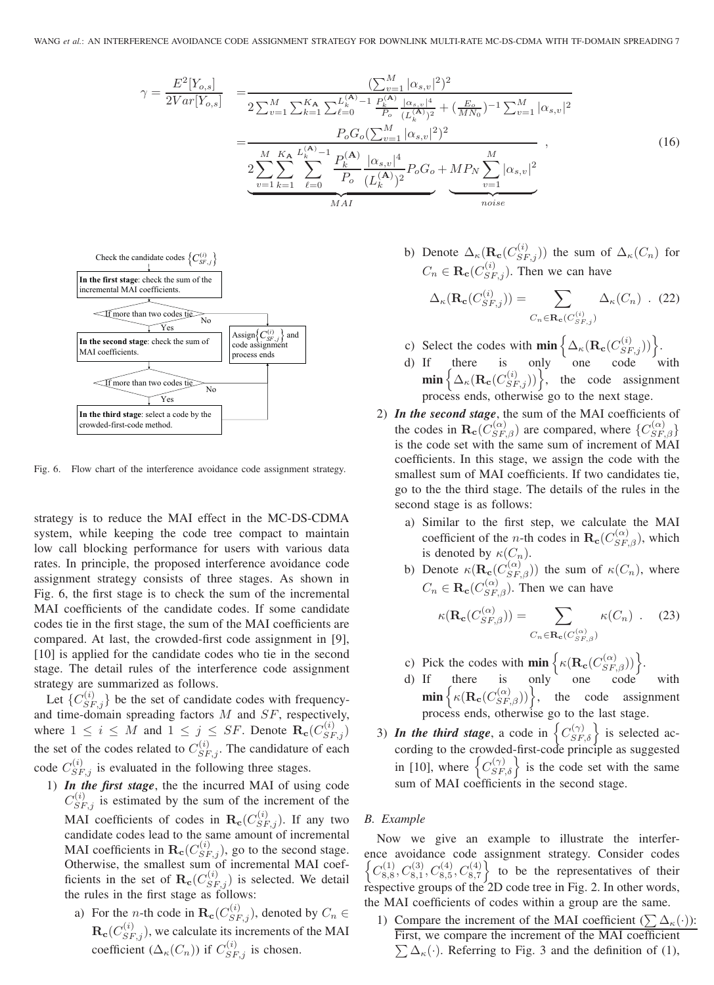$$
\gamma = \frac{E^2[Y_{o,s}]}{2Var[Y_{o,s}]} = \frac{(\sum_{v=1}^{M} |\alpha_{s,v}|^2)^2}{2\sum_{v=1}^{M} \sum_{k=1}^{K_{\mathbf{A}}} \sum_{\ell=0}^{L_{k}^{(\mathbf{A})}-1} \frac{P_{k}^{(\mathbf{A})}}{P_{o}} \frac{|\alpha_{s,v}|^4}{(L_{k}^{(\mathbf{A})})^2} + (\frac{E_{o}}{MN_{0}})^{-1} \sum_{v=1}^{M} |\alpha_{s,v}|^2} = \frac{P_{o}G_{o}(\sum_{v=1}^{M} |\alpha_{s,v}|^2)^2}{2\sum_{v=1}^{M} \sum_{k=1}^{K_{\mathbf{A}}} \sum_{\ell=0}^{L_{k}^{(\mathbf{A})}-1} \frac{P_{k}^{(\mathbf{A})}}{P_{o}} \frac{|\alpha_{s,v}|^4}{(L_{k}^{(\mathbf{A})})^2} P_{o}G_{o} + MP_{N} \sum_{v=1}^{M} |\alpha_{s,v}|^2} \frac{|\alpha_{s,v}|^2}{\frac{|\alpha_{s,v}|^2}{\sum_{v=1}^{M} \sum_{\ell=0}^{M}} P_{o}G_{o}}}{\frac{MR}{MN}}
$$
\n(16)



Fig. 6. Flow chart of the interference avoidance code assignment strategy.

strategy is to reduce the MAI effect in the MC-DS-CDMA system, while keeping the code tree compact to maintain low call blocking performance for users with various data rates. In principle, the proposed interference avoidance code assignment strategy consists of three stages. As shown in Fig. 6, the first stage is to check the sum of the incremental MAI coefficients of the candidate codes. If some candidate codes tie in the first stage, the sum of the MAI coefficients are compared. At last, the crowded-first code assignment in [9], [10] is applied for the candidate codes who tie in the second stage. The detail rules of the interference code assignment strategy are summarized as follows.

Let  $\{C_{SF,j}^{(i)}\}$  be the set of candidate codes with frequencyand time-domain spreading factors  $M$  and  $SF$ , respectively, where  $1 \leq i \leq M$  and  $1 \leq j \leq SF$ . Denote  $\mathbf{R}_{\mathbf{c}}(C_{SF,j}^{(i)})$ the set of the codes related to  $C_{SF,j}^{(i)}$ . The candidature of each code  $C_{SF,j}^{(i)}$  is evaluated in the following three stages.

- 1) *In the first stage*, the the incurred MAI of using code  $C_{SF,j}^{(i)}$  is estimated by the sum of the increment of the MAI coefficients of codes in  $\mathbf{R}_{\mathbf{c}}(C_{SF,j}^{(i)})$ . If any two candidate codes lead to the same amount of incremental MAI coefficients in  $\mathbf{R}_{\mathbf{c}}(C_{SF,j}^{(i)})$ , go to the second stage. Otherwise, the smallest sum of incremental MAI coefficients in the set of  $\mathbf{R}_{\mathbf{c}}(C_{SF,j}^{(i)})$  is selected. We detail the rules in the first stage as follows:
	- a) For the *n*-th code in  $\mathbf{R}_{\mathbf{c}}(C_{SF,j}^{(i)})$ , denoted by  $C_n \in$  $\mathbf{R}_{\mathbf{c}}(C_{SF,j}^{(i)})$ , we calculate its increments of the MAI coefficient  $(\Delta_{\kappa}(C_n))$  if  $C_{SF,j}^{(i)}$  is chosen.

b) Denote  $\Delta_{\kappa}(\mathbf{R}_{\mathbf{c}}(C_{SF,j}^{(i)}))$  the sum of  $\Delta_{\kappa}(C_n)$  for  $C_n \in \mathbf{R}_{\mathbf{c}}(C_{SF,j}^{(i)})$ . Then we can have

$$
\Delta_{\kappa}(\mathbf{R}_{\mathbf{c}}(C_{SF,j}^{(i)})) = \sum_{C_n \in \mathbf{R}_{\mathbf{c}}(C_{SF,j}^{(i)})} \Delta_{\kappa}(C_n) \quad (22)
$$

- c) Select the codes with  $\min \left\{ \Delta_{\kappa}(\mathbf{R}_{\mathbf{c}}(C_{SF,j}^{(i)})) \right\}$ .
- d) If there is only one code with  $\min \left\{ \Delta_{\kappa}(\mathbf{R}_{\mathbf{c}}(C_{SF,j}^{(i)})) \right\}$ , the code assignment process ends, otherwise go to the next stage.
- 2) *In the second stage*, the sum of the MAI coefficients of the codes in  $\mathbf{R}_{\mathbf{c}}(C_{SF,\beta}^{(\alpha)})$  are compared, where  $\{C_{SF,\beta}^{(\alpha)}\}$ is the code set with the same sum of increment of MAI coefficients. In this stage, we assign the code with the smallest sum of MAI coefficients. If two candidates tie, go to the the third stage. The details of the rules in the second stage is as follows:
	- a) Similar to the first step, we calculate the MAI coefficient of the *n*-th codes in  $\mathbf{R}_{\mathbf{c}}(C_{SF,\beta}^{(\alpha)})$ , which is denoted by  $\kappa(C_n)$ .
	- b) Denote  $\kappa(\mathbf{R}_{\mathbf{c}}(C_{SF,\beta}^{(\alpha)}))$  the sum of  $\kappa(C_n)$ , where  $C_n \in \mathbf{R}_{\mathbf{c}}(C_{SF,\beta}^{(\alpha)})$ . Then we can have

$$
\kappa(\mathbf{R}_{\mathbf{c}}(C_{SF,\beta}^{(\alpha)})) = \sum_{C_n \in \mathbf{R}_{\mathbf{c}}(C_{SF,\beta}^{(\alpha)})} \kappa(C_n) \quad . \tag{23}
$$

c) Pick the codes with  $\min \left\{ \kappa(\mathbf{R}_{\mathbf{c}}(C_{SF,\beta}^{(\alpha)})) \right\}.$ 

d) If there is only one code with  $\min \left\{ \kappa(\mathbf{R}_{\mathbf{c}}(C_{SF,\beta}^{(\alpha)})) \right\}, \quad \text{the code assignment}$ process ends, otherwise go to the last stage.

3) *In the third stage*, a code in  $\left\{C_{SF,\delta}^{(\gamma)}\right\}$  is selected according to the crowded-first-code principle as suggested in [10], where  $\{C_{SF,\delta}^{(\gamma)}\}$  is the code set with the same sum of MAI coefficients in the second stage.

### *B. Example*

Now we give an example to illustrate the interference avoidance code assignment strategy. Consider codes  $\left\{C_{8,8}^{(1)}, C_{8,1}^{(3)}, C_{8,5}^{(4)}, C_{8,7}^{(4)}\right\}$  to be the representatives of their respective groups of the 2D code tree in Fig. 2. In other words, the MAI coefficients of codes within a group are the same.

1) Compare the increment of the MAI coefficient ( $\sum \Delta_{\kappa}(\cdot)$ ): First, we compare the increment of the MAI coefficient  $\sum \Delta_{\kappa}(\cdot)$ . Referring to Fig. 3 and the definition of (1),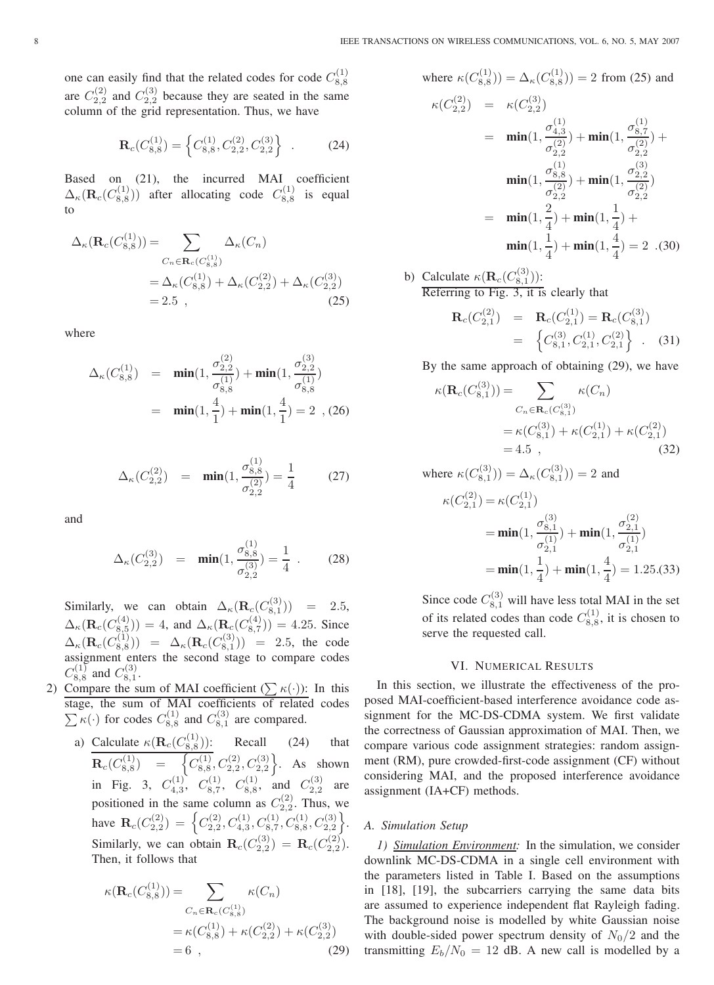one can easily find that the related codes for code  $C_{8,8}^{(1)}$ are  $C_{2,2}^{(2)}$  and  $C_{2,2}^{(3)}$  because they are seated in the same column of the grid representation. Thus, we have

$$
\mathbf{R}_c(C_{8,8}^{(1)}) = \left\{ C_{8,8}^{(1)}, C_{2,2}^{(2)}, C_{2,2}^{(3)} \right\} . \tag{24}
$$

Based on (21), the incurred MAI coefficient  $\Delta_{\kappa}(\mathbf{R}_c(C_{8,8}^{(1)}))$  after allocating code  $C_{8,8}^{(1)}$  is equal to

$$
\Delta_{\kappa}(\mathbf{R}_{c}(C_{8,8}^{(1)})) = \sum_{C_{n} \in \mathbf{R}_{c}(C_{8,8}^{(1)})} \Delta_{\kappa}(C_{n})
$$

$$
= \Delta_{\kappa}(C_{8,8}^{(1)}) + \Delta_{\kappa}(C_{2,2}^{(2)}) + \Delta_{\kappa}(C_{2,2}^{(3)})
$$

$$
= 2.5 , \qquad (25)
$$

where

$$
\Delta_{\kappa}(C_{8,8}^{(1)}) = \min(1, \frac{\sigma_{2,2}^{(2)}}{\sigma_{8,8}^{(1)}}) + \min(1, \frac{\sigma_{2,2}^{(3)}}{\sigma_{8,8}^{(1)}})
$$
  
=  $\min(1, \frac{4}{1}) + \min(1, \frac{4}{1}) = 2$ , (26)

$$
\Delta_{\kappa}(C_{2,2}^{(2)}) = \min(1, \frac{\sigma_{8,8}^{(1)}}{\sigma_{2,2}^{(2)}}) = \frac{1}{4}
$$
 (27)

and

$$
\Delta_{\kappa}(C_{2,2}^{(3)}) = \min(1, \frac{\sigma_{8,8}^{(1)}}{\sigma_{2,2}^{(3)}}) = \frac{1}{4} . \tag{28}
$$

Similarly, we can obtain  $\Delta_{\kappa}(\mathbf{R}_c(C_{8,1}^{(3)})) = 2.5$ ,  $\Delta_{\kappa}(\mathbf{R}_c(C_{8,5}^{(4)})) = 4$ , and  $\Delta_{\kappa}(\mathbf{R}_c(C_{8,7}^{(4)})) = 4.25$ . Since  $\Delta_{\kappa}(\mathbf{R}_c(C_{8,8}^{(1)})) = \Delta_{\kappa}(\mathbf{R}_c(C_{8,1}^{(3)})) = 2.5$ , the code assignment enters the second stage to compare codes  $C_{8,8}^{(1)}$  and  $C_{8,1}^{(3)}$ .

- 2) Compare the sum of MAI coefficient  $(\sum \kappa(\cdot))$ : In this stage, the sum of MAI coefficients of related codes  $\sum \kappa(\cdot)$  for codes  $C_{8,8}^{(1)}$  and  $C_{8,1}^{(3)}$  are compared.
	- a) Calculate  $\kappa(\mathbf{R}_c(C_{8,8}^{(1)}))$ : Recall (24) that  $\mathbf{R}_c(C_{8,8}^{(1)}) = \begin{cases} C_{8,8}^{(1)}, C_{2,2}^{(2)}, C_{2,2}^{(3)} \end{cases}$ . As shown in Fig. 3,  $C_{4,3}^{(1)}$ ,  $C_{8,7}^{(1)}$ ,  $C_{8,8}^{(1)}$ , and  $C_{2,2}^{(3)}$  are positioned in the same column as  $C_{2,2}^{(2)}$ . Thus, we have  $\mathbf{R}_c(C_{2,2}^{(2)}) = \left\{C_{2,2}^{(2)}, C_{4,3}^{(1)}, C_{8,7}^{(1)}, C_{8,8}^{(1)}, C_{2,2}^{(3)}\right\}.$ Similarly, we can obtain  $\mathbf{R}_c(C_{2,2}^{(3)}) = \mathbf{R}_c(C_{2,2}^{(2)})$ . Then, it follows that

$$
\kappa(\mathbf{R}_c(C_{8,8}^{(1)})) = \sum_{C_n \in \mathbf{R}_c(C_{8,8}^{(1)})} \kappa(C_n)
$$
  
=  $\kappa(C_{8,8}^{(1)}) + \kappa(C_{2,2}^{(2)}) + \kappa(C_{2,2}^{(3)})$   
= 6 , (29)

where 
$$
\kappa(C_{8,8}^{(1)}) = \Delta_{\kappa}(C_{8,8}^{(1)}) = 2
$$
 from (25) and  
\n
$$
\kappa(C_{2,2}^{(2)}) = \kappa(C_{2,2}^{(3)})
$$
\n
$$
= \min(1, \frac{\sigma_{4,3}^{(1)}}{\sigma_{2,2}^{(2)}}) + \min(1, \frac{\sigma_{8,7}^{(1)}}{\sigma_{2,2}^{(2)}}) + \min(1, \frac{\sigma_{8,8}^{(3)}}{\sigma_{2,2}^{(2)}})
$$
\n
$$
= \min(1, \frac{2}{4}) + \min(1, \frac{1}{4}) + \min(1, \frac{1}{4}) + \min(1, \frac{1}{4}) + \min(1, \frac{1}{4}) + \min(1, \frac{1}{4}) = 2 \quad (30)
$$

b) Calculate  $\kappa(\mathbf{R}_c(C_{8,1}^{(3)}))$ : Referring to Fig. 3, it is clearly that

$$
\mathbf{R}_c(C_{2,1}^{(2)}) = \mathbf{R}_c(C_{2,1}^{(1)}) = \mathbf{R}_c(C_{8,1}^{(3)})
$$
  
= 
$$
\left\{ C_{8,1}^{(3)}, C_{2,1}^{(1)}, C_{2,1}^{(2)} \right\} .
$$
 (31)

By the same approach of obtaining (29), we have

$$
\kappa(\mathbf{R}_c(C_{8,1}^{(3)})) = \sum_{C_n \in \mathbf{R}_c(C_{8,1}^{(3)})} \kappa(C_n)
$$
  
=  $\kappa(C_{8,1}^{(3)}) + \kappa(C_{2,1}^{(1)}) + \kappa(C_{2,1}^{(2)})$   
= 4.5 , (32)

where 
$$
\kappa(C_{8,1}^{(3)})) = \Delta_{\kappa}(C_{8,1}^{(3)})) = 2
$$
 and  
\n
$$
\kappa(C_{2,1}^{(2)}) = \kappa(C_{2,1}^{(1)})
$$
\n
$$
= \min(1, \frac{\sigma_{8,1}^{(3)}}{\sigma_{2,1}^{(1)}}) + \min(1, \frac{\sigma_{2,1}^{(2)}}{\sigma_{2,1}^{(1)}})
$$
\n
$$
= \min(1, \frac{1}{4}) + \min(1, \frac{4}{4}) = 1.25.33)
$$

Since code  $C_{8,1}^{(3)}$  will have less total MAI in the set of its related codes than code  $C_{8,8}^{(1)}$ , it is chosen to serve the requested call.

### VI. NUMERICAL RESULTS

In this section, we illustrate the effectiveness of the proposed MAI-coefficient-based interference avoidance code assignment for the MC-DS-CDMA system. We first validate the correctness of Gaussian approximation of MAI. Then, we compare various code assignment strategies: random assignment (RM), pure crowded-first-code assignment (CF) without considering MAI, and the proposed interference avoidance assignment (IA+CF) methods.

### *A. Simulation Setup*

*1) Simulation Environment:* In the simulation, we consider downlink MC-DS-CDMA in a single cell environment with the parameters listed in Table I. Based on the assumptions in [18], [19], the subcarriers carrying the same data bits are assumed to experience independent flat Rayleigh fading. The background noise is modelled by white Gaussian noise with double-sided power spectrum density of  $N_0/2$  and the transmitting  $E_b/N_0 = 12$  dB. A new call is modelled by a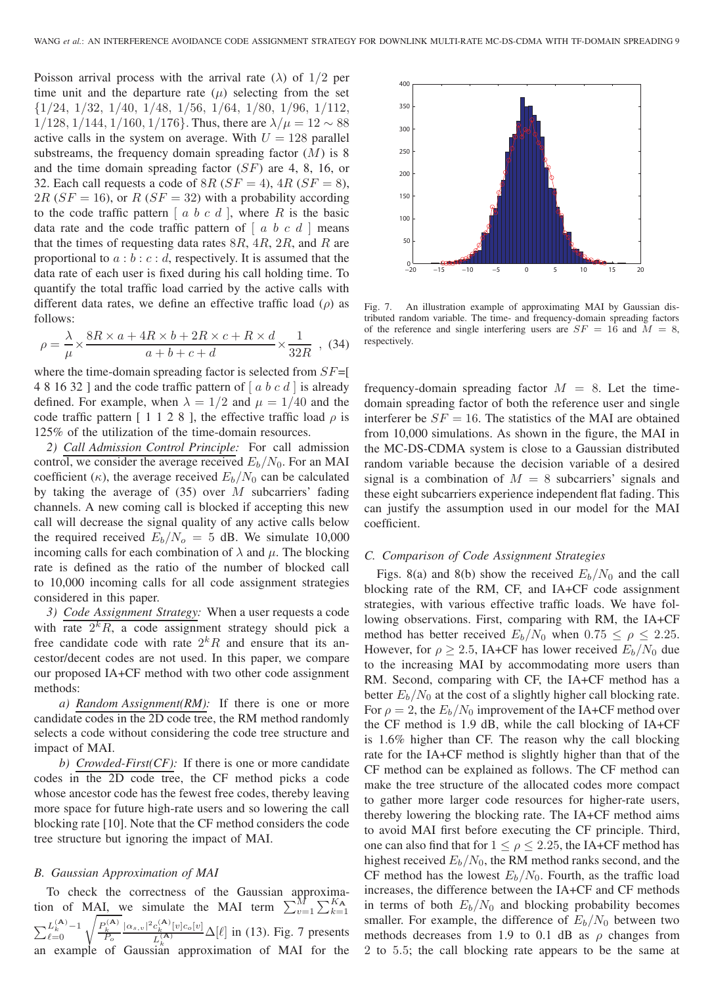Poisson arrival process with the arrival rate ( $\lambda$ ) of 1/2 per time unit and the departure rate  $(\mu)$  selecting from the set {1/24, 1/32, 1/40, 1/48, 1/56, 1/64, 1/80, 1/96, 1/112,  $1/128$ ,  $1/144$ ,  $1/160$ ,  $1/176$ }. Thus, there are  $\lambda/\mu = 12 \sim 88$ active calls in the system on average. With  $U = 128$  parallel substreams, the frequency domain spreading factor  $(M)$  is 8 and the time domain spreading factor (SF) are 4, 8, 16, or 32. Each call requests a code of  $8R$  ( $SF = 4$ ),  $4R$  ( $SF = 8$ ), 2R ( $SF = 16$ ), or R ( $SF = 32$ ) with a probability according to the code traffic pattern  $[a, b, c, d]$ , where R is the basic data rate and the code traffic pattern of  $[a, b, c, d]$  means that the times of requesting data rates  $8R$ ,  $4R$ ,  $2R$ , and R are proportional to  $a:b:c:d$ , respectively. It is assumed that the data rate of each user is fixed during his call holding time. To quantify the total traffic load carried by the active calls with different data rates, we define an effective traffic load  $(\rho)$  as follows:

$$
\rho = \frac{\lambda}{\mu} \times \frac{8R \times a + 4R \times b + 2R \times c + R \times d}{a + b + c + d} \times \frac{1}{32R} ,
$$
 (34)

where the time-domain spreading factor is selected from  $SF=[$ 4 8 16 32 ] and the code traffic pattern of  $[a, b, c, d]$  is already defined. For example, when  $\lambda = 1/2$  and  $\mu = 1/40$  and the code traffic pattern [ 1 1 2 8 ], the effective traffic load  $\rho$  is 125% of the utilization of the time-domain resources.

*2) Call Admission Control Principle:* For call admission control, we consider the average received  $E_b/N_0$ . For an MAI coefficient ( $\kappa$ ), the average received  $E_b/N_0$  can be calculated by taking the average of  $(35)$  over M subcarriers' fading channels. A new coming call is blocked if accepting this new call will decrease the signal quality of any active calls below the required received  $E_b/N_o = 5$  dB. We simulate 10,000 incoming calls for each combination of  $\lambda$  and  $\mu$ . The blocking rate is defined as the ratio of the number of blocked call to 10,000 incoming calls for all code assignment strategies considered in this paper.

*3) Code Assignment Strategy:* When a user requests a code with rate  $2^k R$ , a code assignment strategy should pick a free candidate code with rate  $2kR$  and ensure that its ancestor/decent codes are not used. In this paper, we compare our proposed IA+CF method with two other code assignment methods:

*a) Random Assignment(RM):* If there is one or more candidate codes in the 2D code tree, the RM method randomly selects a code without considering the code tree structure and impact of MAI.

*b) Crowded-First(CF):* If there is one or more candidate codes in the 2D code tree, the CF method picks a code whose ancestor code has the fewest free codes, thereby leaving more space for future high-rate users and so lowering the call blocking rate [10]. Note that the CF method considers the code tree structure but ignoring the impact of MAI.

### *B. Gaussian Approximation of MAI*

To check the correctness of the Gaussian approximation of MAI, we simulate the MAI term  $\sum_{v=1}^{M} \sum_{k=1}^{K_{A}}$  $\sum_{\ell=0}^{L_k^{(\mathbf{A})}-1} \sqrt{\frac{P_k^{(\mathbf{A})}}{P_o}}$  $|\alpha_{s,v}|^2 c_k^{(A)}[v]c_o[v]$  $\frac{C_k - [v]C_o[v]}{L_k^{(A)}} \Delta[\ell]$  in (13). Fig. 7 presents an example of Gaussian approximation of MAI for the



Fig. 7. An illustration example of approximating MAI by Gaussian distributed random variable. The time- and frequency-domain spreading factors of the reference and single interfering users are  $SF = 16$  and  $\overline{M} = 8$ , respectively.

frequency-domain spreading factor  $M = 8$ . Let the timedomain spreading factor of both the reference user and single interferer be  $SF = 16$ . The statistics of the MAI are obtained from 10,000 simulations. As shown in the figure, the MAI in the MC-DS-CDMA system is close to a Gaussian distributed random variable because the decision variable of a desired signal is a combination of  $M = 8$  subcarriers' signals and these eight subcarriers experience independent flat fading. This can justify the assumption used in our model for the MAI coefficient.

### *C. Comparison of Code Assignment Strategies*

Figs. 8(a) and 8(b) show the received  $E_b/N_0$  and the call blocking rate of the RM, CF, and IA+CF code assignment strategies, with various effective traffic loads. We have following observations. First, comparing with RM, the IA+CF method has better received  $E_b/N_0$  when  $0.75 \le \rho \le 2.25$ . However, for  $\rho \ge 2.5$ , IA+CF has lower received  $E_b/N_0$  due to the increasing MAI by accommodating more users than RM. Second, comparing with CF, the IA+CF method has a better  $E_b/N_0$  at the cost of a slightly higher call blocking rate. For  $\rho = 2$ , the  $E_b/N_0$  improvement of the IA+CF method over the CF method is 1.9 dB, while the call blocking of IA+CF is 1.6% higher than CF. The reason why the call blocking rate for the IA+CF method is slightly higher than that of the CF method can be explained as follows. The CF method can make the tree structure of the allocated codes more compact to gather more larger code resources for higher-rate users, thereby lowering the blocking rate. The IA+CF method aims to avoid MAI first before executing the CF principle. Third, one can also find that for  $1 \le \rho \le 2.25$ , the IA+CF method has highest received  $E_b/N_0$ , the RM method ranks second, and the CF method has the lowest  $E_b/N_0$ . Fourth, as the traffic load increases, the difference between the IA+CF and CF methods in terms of both  $E_b/N_0$  and blocking probability becomes smaller. For example, the difference of  $E_b/N_0$  between two methods decreases from 1.9 to 0.1 dB as  $\rho$  changes from 2 to 5.5; the call blocking rate appears to be the same at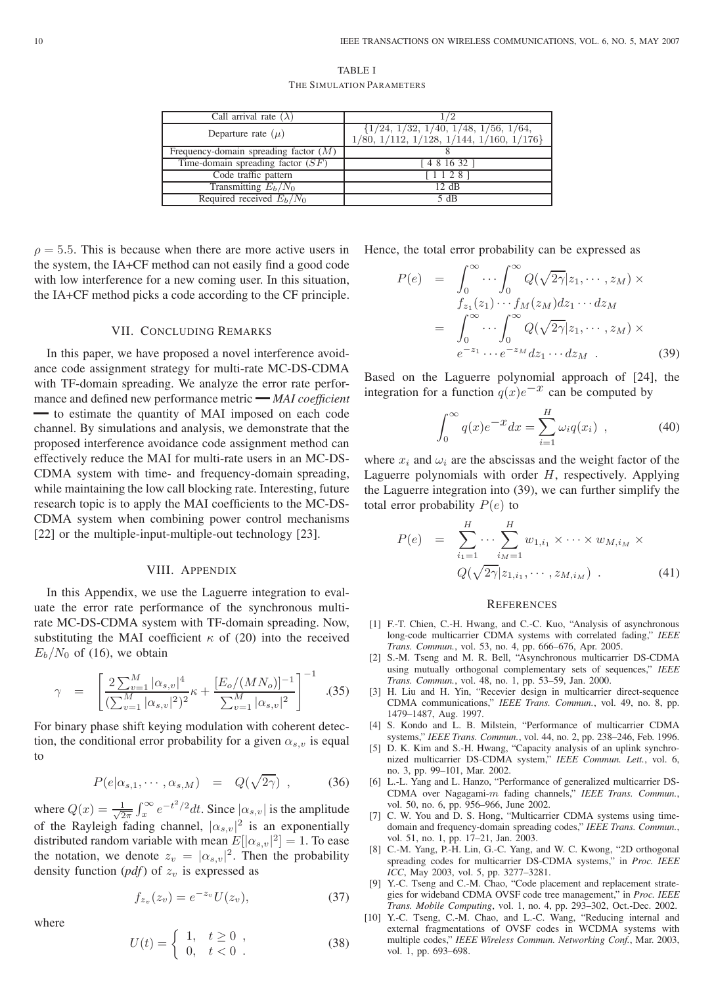| TABLE I                   |
|---------------------------|
| THE SIMULATION PARAMETERS |

| 72                                                                                   |
|--------------------------------------------------------------------------------------|
| $\{1/24, 1/32, 1/40, 1/48, 1/56, 1/64,$<br>$1/80, 1/112, 1/128, 1/144, 1/160, 1/176$ |
|                                                                                      |
| 4 8 16 32 1                                                                          |
| 1128                                                                                 |
| 12 dB                                                                                |
| 5 dB                                                                                 |
|                                                                                      |

 $\rho = 5.5$ . This is because when there are more active users in the system, the IA+CF method can not easily find a good code with low interference for a new coming user. In this situation, the IA+CF method picks a code according to the CF principle.

### VII. CONCLUDING REMARKS

In this paper, we have proposed a novel interference avoidance code assignment strategy for multi-rate MC-DS-CDMA with TF-domain spreading. We analyze the error rate performance and defined new performance metric *MAI coefficient* — to estimate the quantity of MAI imposed on each code channel. By simulations and analysis, we demonstrate that the proposed interference avoidance code assignment method can effectively reduce the MAI for multi-rate users in an MC-DS-CDMA system with time- and frequency-domain spreading, while maintaining the low call blocking rate. Interesting, future research topic is to apply the MAI coefficients to the MC-DS-CDMA system when combining power control mechanisms [22] or the multiple-input-multiple-out technology [23].

### VIII. APPENDIX

In this Appendix, we use the Laguerre integration to evaluate the error rate performance of the synchronous multirate MC-DS-CDMA system with TF-domain spreading. Now, substituting the MAI coefficient  $\kappa$  of (20) into the received  $E_b/N_0$  of (16), we obtain

$$
\gamma = \left[ \frac{2 \sum_{v=1}^{M} |\alpha_{s,v}|^4}{(\sum_{v=1}^{M} |\alpha_{s,v}|^2)^2} \kappa + \frac{[E_o/(MN_o)]^{-1}}{\sum_{v=1}^{M} |\alpha_{s,v}|^2} \right]^{-1} . (35)
$$

For binary phase shift keying modulation with coherent detection, the conditional error probability for a given  $\alpha_{s,v}$  is equal to

$$
P(e|\alpha_{s,1},\cdots,\alpha_{s,M}) = Q(\sqrt{2\gamma}), \qquad (36)
$$

where  $Q(x) = \frac{1}{\sqrt{2\pi}} \int_x^{\infty} e^{-t^2/2} dt$ . Since  $|\alpha_{s,v}|$  is the amplitude of the Rayleigh fading channel,  $|\alpha_{s,v}|^2$  is an exponentially distributed random variable with mean  $E[|\alpha_{s,v}|^2] = 1$ . To ease the notation, we denote  $z_v = |\alpha_{s,v}|^2$ . Then the probability density function  $(pdf)$  of  $z_v$  is expressed as

where

$$
f_{z_v}(z_v) = e^{-z_v} U(z_v),
$$
 (37)

$$
U(t) = \begin{cases} 1, & t \ge 0, \\ 0, & t < 0. \end{cases}
$$
 (38)

Hence, the total error probability can be expressed as

$$
P(e) = \int_0^\infty \cdots \int_0^\infty Q(\sqrt{2\gamma}|z_1,\cdots,z_M) \times f_{z_1}(z_1)\cdots f_M(z_M)dz_1\cdots dz_M
$$
  

$$
= \int_0^\infty \cdots \int_0^\infty Q(\sqrt{2\gamma}|z_1,\cdots,z_M) \times f_{z_1}(z_1)\cdots f_{z_M}(z_1)\cdots dz_M \quad (39)
$$

Based on the Laguerre polynomial approach of [24], the integration for a function  $q(x)e^{-x}$  can be computed by

$$
\int_0^\infty q(x)e^{-x}dx = \sum_{i=1}^H \omega_i q(x_i) , \qquad (40)
$$

where  $x_i$  and  $\omega_i$  are the abscissas and the weight factor of the Laguerre polynomials with order  $H$ , respectively. Applying the Laguerre integration into (39), we can further simplify the total error probability  $P(e)$  to

$$
P(e) = \sum_{i_1=1}^{H} \cdots \sum_{i_M=1}^{H} w_{1,i_1} \times \cdots \times w_{M,i_M} \times
$$
  

$$
Q(\sqrt{2\gamma} | z_{1,i_1}, \cdots, z_{M,i_M})
$$
 (41)

### **REFERENCES**

- [1] F.-T. Chien, C.-H. Hwang, and C.-C. Kuo, "Analysis of asynchronous long-code multicarrier CDMA systems with correlated fading," *IEEE Trans. Commun.*, vol. 53, no. 4, pp. 666–676, Apr. 2005.
- [2] S.-M. Tseng and M. R. Bell, "Asynchronous multicarrier DS-CDMA using mutually orthogonal complementary sets of sequences," *IEEE Trans. Commun.*, vol. 48, no. 1, pp. 53–59, Jan. 2000.
- [3] H. Liu and H. Yin, "Recevier design in multicarrier direct-sequence CDMA communications," *IEEE Trans. Commun.*, vol. 49, no. 8, pp. 1479–1487, Aug. 1997.
- [4] S. Kondo and L. B. Milstein, "Performance of multicarrier CDMA systems," *IEEE Trans. Commun.*, vol. 44, no. 2, pp. 238–246, Feb. 1996.
- [5] D. K. Kim and S.-H. Hwang, "Capacity analysis of an uplink synchronized multicarrier DS-CDMA system," *IEEE Commun. Lett.*, vol. 6, no. 3, pp. 99–101, Mar. 2002.
- [6] L.-L. Yang and L. Hanzo, "Performance of generalized multicarrier DS-CDMA over Nagagami-m fading channels," *IEEE Trans. Commun.*, vol. 50, no. 6, pp. 956–966, June 2002.
- [7] C. W. You and D. S. Hong, "Multicarrier CDMA systems using timedomain and frequency-domain spreading codes," *IEEE Trans. Commun.*, vol. 51, no. 1, pp. 17–21, Jan. 2003.
- [8] C.-M. Yang, P.-H. Lin, G.-C. Yang, and W. C. Kwong, "2D orthogonal spreading codes for multicarrier DS-CDMA systems," in *Proc. IEEE ICC*, May 2003, vol. 5, pp. 3277–3281.
- [9] Y.-C. Tseng and C.-M. Chao, "Code placement and replacement strategies for wideband CDMA OVSF code tree management," in *Proc. IEEE Trans. Mobile Computing*, vol. 1, no. 4, pp. 293–302, Oct.-Dec. 2002.
- [10] Y.-C. Tseng, C.-M. Chao, and L.-C. Wang, "Reducing internal and external fragmentations of OVSF codes in WCDMA systems with multiple codes," *IEEE Wireless Commun. Networking Conf.*, Mar. 2003, vol. 1, pp. 693–698.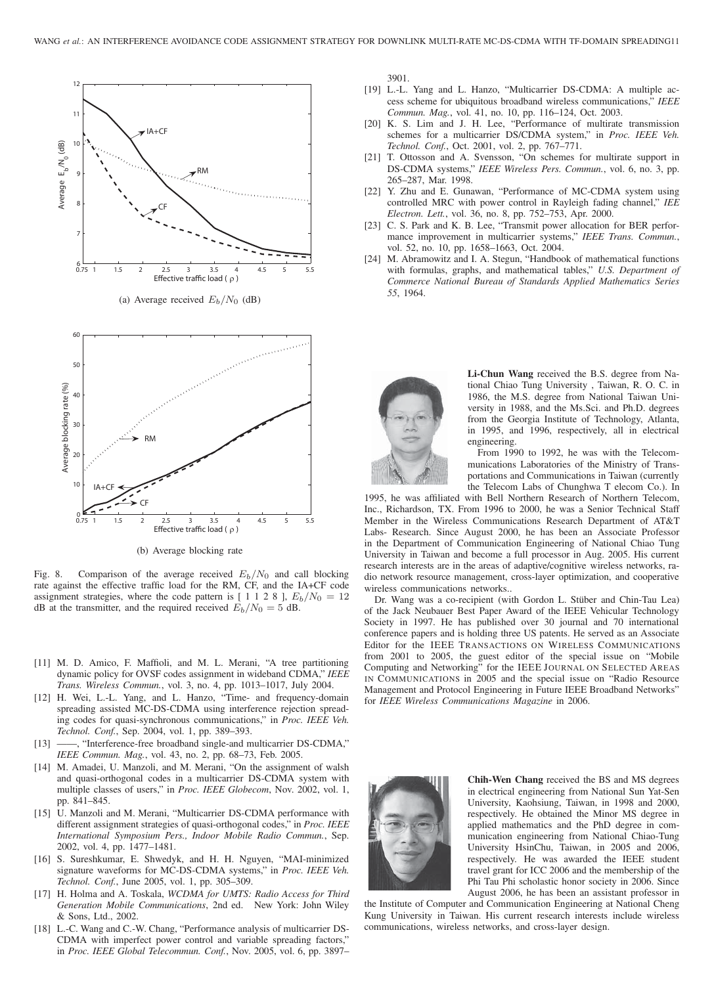

Fig. 8. Comparison of the average received  $E_b/N_0$  and call blocking rate against the effective traffic load for the RM, CF, and the IA+CF code assignment strategies, where the code pattern is  $[1 1 2 8]$ ,  $E_b/N_0 = 12$ dB at the transmitter, and the required received  $E_b/N_0 = 5$  dB.

(b) Average blocking rate

- [11] M. D. Amico, F. Maffioli, and M. L. Merani, "A tree partitioning dynamic policy for OVSF codes assignment in wideband CDMA," *IEEE Trans. Wireless Commun.*, vol. 3, no. 4, pp. 1013–1017, July 2004.
- [12] H. Wei, L.-L. Yang, and L. Hanzo, "Time- and frequency-domain spreading assisted MC-DS-CDMA using interference rejection spreading codes for quasi-synchronous communications," in *Proc. IEEE Veh. Technol. Conf.*, Sep. 2004, vol. 1, pp. 389–393.
- [13] ——, "Interference-free broadband single-and multicarrier DS-CDMA," *IEEE Commun. Mag.*, vol. 43, no. 2, pp. 68–73, Feb. 2005.
- [14] M. Amadei, U. Manzoli, and M. Merani, "On the assignment of walsh and quasi-orthogonal codes in a multicarrier DS-CDMA system with multiple classes of users," in *Proc. IEEE Globecom*, Nov. 2002, vol. 1, pp. 841–845.
- [15] U. Manzoli and M. Merani, "Multicarrier DS-CDMA performance with different assignment strategies of quasi-orthogonal codes," in *Proc. IEEE International Symposium Pers., Indoor Mobile Radio Commun.*, Sep. 2002, vol. 4, pp. 1477–1481.
- [16] S. Sureshkumar, E. Shwedyk, and H. H. Nguyen, "MAI-minimized signature waveforms for MC-DS-CDMA systems," in *Proc. IEEE Veh. Technol. Conf.*, June 2005, vol. 1, pp. 305–309.
- [17] H. Holma and A. Toskala, *WCDMA for UMTS: Radio Access for Third Generation Mobile Communications*, 2nd ed. New York: John Wiley & Sons, Ltd., 2002.
- [18] L.-C. Wang and C.-W. Chang, "Performance analysis of multicarrier DS-CDMA with imperfect power control and variable spreading factors," in *Proc. IEEE Global Telecommun. Conf.*, Nov. 2005, vol. 6, pp. 3897–

3901.

- [19] L.-L. Yang and L. Hanzo, "Multicarrier DS-CDMA: A multiple access scheme for ubiquitous broadband wireless communications," *IEEE Commun. Mag.*, vol. 41, no. 10, pp. 116–124, Oct. 2003.
- [20] K. S. Lim and J. H. Lee, "Performance of multirate transmission schemes for a multicarrier DS/CDMA system," in *Proc. IEEE Veh. Technol. Conf.*, Oct. 2001, vol. 2, pp. 767–771.
- [21] T. Ottosson and A. Svensson, "On schemes for multirate support in DS-CDMA systems," *IEEE Wireless Pers. Commun.*, vol. 6, no. 3, pp. 265–287, Mar. 1998.
- [22] Y. Zhu and E. Gunawan, "Performance of MC-CDMA system using controlled MRC with power control in Rayleigh fading channel," *IEE Electron. Lett.*, vol. 36, no. 8, pp. 752–753, Apr. 2000.
- [23] C. S. Park and K. B. Lee, "Transmit power allocation for BER performance improvement in multicarrier systems," *IEEE Trans. Commun.*, vol. 52, no. 10, pp. 1658–1663, Oct. 2004.
- [24] M. Abramowitz and I. A. Stegun, "Handbook of mathematical functions with formulas, graphs, and mathematical tables," *U.S. Department of Commerce National Bureau of Standards Applied Mathematics Series 55*, 1964.



**Li-Chun Wang** received the B.S. degree from National Chiao Tung University , Taiwan, R. O. C. in 1986, the M.S. degree from National Taiwan University in 1988, and the Ms.Sci. and Ph.D. degrees from the Georgia Institute of Technology, Atlanta, in 1995, and 1996, respectively, all in electrical engineering.

From 1990 to 1992, he was with the Telecommunications Laboratories of the Ministry of Transportations and Communications in Taiwan (currently the Telecom Labs of Chunghwa T elecom Co.). In

1995, he was affiliated with Bell Northern Research of Northern Telecom, Inc., Richardson, TX. From 1996 to 2000, he was a Senior Technical Staff Member in the Wireless Communications Research Department of AT&T Labs- Research. Since August 2000, he has been an Associate Professor in the Department of Communication Engineering of National Chiao Tung University in Taiwan and become a full processor in Aug. 2005. His current research interests are in the areas of adaptive/cognitive wireless networks, radio network resource management, cross-layer optimization, and cooperative wireless communications networks..

Dr. Wang was a co-recipient (with Gordon L. Stüber and Chin-Tau Lea) of the Jack Neubauer Best Paper Award of the IEEE Vehicular Technology Society in 1997. He has published over 30 journal and 70 international conference papers and is holding three US patents. He served as an Associate Editor for the IEEE TRANSACTIONS ON WIRELESS COMMUNICATIONS from 2001 to 2005, the guest editor of the special issue on "Mobile Computing and Networking" for the IEEE JOURNAL ON SELECTED AREAS IN COMMUNICATIONS in 2005 and the special issue on "Radio Resource Management and Protocol Engineering in Future IEEE Broadband Networks" for *IEEE Wireless Communications Magazine* in 2006.



**Chih-Wen Chang** received the BS and MS degrees in electrical engineering from National Sun Yat-Sen University, Kaohsiung, Taiwan, in 1998 and 2000, respectively. He obtained the Minor MS degree in applied mathematics and the PhD degree in communication engineering from National Chiao-Tung University HsinChu, Taiwan, in 2005 and 2006, respectively. He was awarded the IEEE student travel grant for ICC 2006 and the membership of the Phi Tau Phi scholastic honor society in 2006. Since August 2006, he has been an assistant professor in

the Institute of Computer and Communication Engineering at National Cheng Kung University in Taiwan. His current research interests include wireless communications, wireless networks, and cross-layer design.